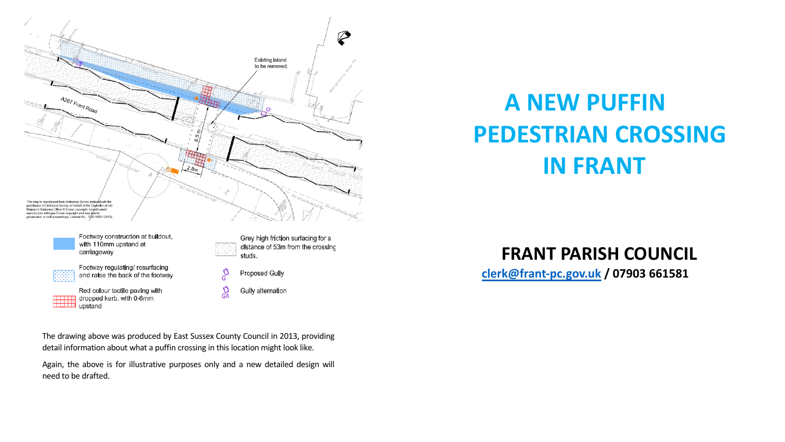

**PE** 

**clerk@frant-pc.gov.uk / 07903 661581**

The drawing above was produced by East Sussex County Council in 2013, providing detail information about what a puffin crossing in this location might look like.

Again, the above is for illustrative purposes only and a new detailed design will need to be drafted.